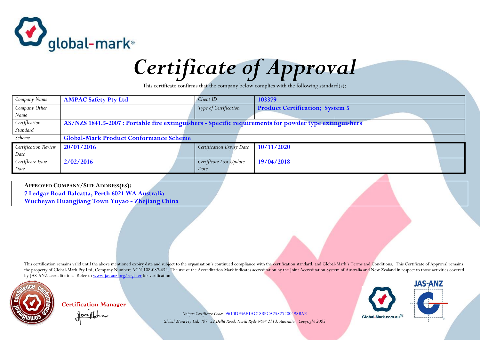

## *Certificate of Approval*

This certificate confirms that the company below complies with the following standard(s):

| Company Name         | <b>AMPAC Safety Pty Ltd</b>                                                                            | Client ID                 | 103379                                 |  |  |
|----------------------|--------------------------------------------------------------------------------------------------------|---------------------------|----------------------------------------|--|--|
| Company Other        |                                                                                                        | Type of Certification     | <b>Product Certification; System 5</b> |  |  |
| Name                 |                                                                                                        |                           |                                        |  |  |
| Certification        | AS/NZS 1841.5-2007 : Portable fire extinguishers - Specific requirements for powder type extinguishers |                           |                                        |  |  |
| Standard             |                                                                                                        |                           |                                        |  |  |
| Scheme               | <b>Global-Mark Product Conformance Scheme</b>                                                          |                           |                                        |  |  |
| Certification Review | 20/01/2016                                                                                             | Certification Expiry Date | 10/11/2020                             |  |  |
| Date                 |                                                                                                        |                           |                                        |  |  |
| Certificate Issue    | 2/02/2016                                                                                              | Certificate Last Update   | 19/04/2018                             |  |  |
| Date                 |                                                                                                        | Date                      |                                        |  |  |

**APPROVED COMPANY/SITE ADDRESS(ES): 7 Ledgar Road Balcatta, Perth 6021 WA Australia Wucheyan Huangjiang Town Yuyao - Zhejiang China** 

This certification remains valid until the above mentioned expiry date and subject to the organisation's continued compliance with the certification standard, and Global-Mark's Terms and Conditions. This Certificate of App the property of Global-Mark Pty Ltd, Company Number: ACN.108-087-654. The use of the Accreditation Mark indicates accreditation by the Joint Accreditation System of Australia and New Zealand in respect to those activities by JAS-ANZ accreditation. Refer to [www.jas-anz.org/register](http://www.jas-anz.org/register) for verification.



**Certification Manager** Here Moha

*Unique Certificate Code:* 9610DE56E1AC18BFCA25827200498BAE *Global-Mark Pty Ltd, 407, 32 Delhi Road, North Ryde NSW 2113, Australia - Copyright 2005*